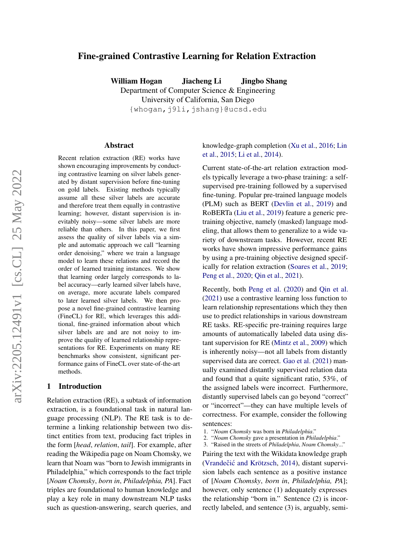# Fine-grained Contrastive Learning for Relation Extraction

William Hogan Jiacheng Li Jingbo Shang Department of Computer Science & Engineering University of California, San Diego {whogan,j9li,jshang}@ucsd.edu

### Abstract

Recent relation extraction (RE) works have shown encouraging improvements by conducting contrastive learning on silver labels generated by distant supervision before fine-tuning on gold labels. Existing methods typically assume all these silver labels are accurate and therefore treat them equally in contrastive learning; however, distant supervision is inevitably noisy—some silver labels are more reliable than others. In this paper, we first assess the quality of silver labels via a simple and automatic approach we call "learning order denoising," where we train a language model to learn these relations and record the order of learned training instances. We show that learning order largely corresponds to label accuracy—early learned silver labels have, on average, more accurate labels compared to later learned silver labels. We then propose a novel fine-grained contrastive learning (FineCL) for RE, which leverages this additional, fine-grained information about which silver labels are and are not noisy to improve the quality of learned relationship representations for RE. Experiments on many RE benchmarks show consistent, significant performance gains of FineCL over state-of-the-art methods.

### 1 Introduction

Relation extraction (RE), a subtask of information extraction, is a foundational task in natural language processing (NLP). The RE task is to determine a linking relationship between two distinct entities from text, producing fact triples in the form [*head*, *relation*, *tail*]. For example, after reading the Wikipedia page on Noam Chomsky, we learn that Noam was "born to Jewish immigrants in Philadelphia," which corresponds to the fact triple [*Noam Chomsky*, *born in*, *Philadelphia, PA*]. Fact triples are foundational to human knowledge and play a key role in many downstream NLP tasks such as question-answering, search queries, and

knowledge-graph completion [\(Xu et al.,](#page-9-0) [2016;](#page-9-0) [Lin](#page-8-0) [et al.,](#page-8-0) [2015;](#page-8-0) [Li et al.,](#page-8-1) [2014\)](#page-8-1).

Current state-of-the-art relation extraction models typically leverage a two-phase training: a selfsupervised pre-training followed by a supervised fine-tuning. Popular pre-trained language models (PLM) such as BERT [\(Devlin et al.,](#page-8-2) [2019\)](#page-8-2) and RoBERTa [\(Liu et al.,](#page-8-3) [2019\)](#page-8-3) feature a generic pretraining objective, namely (masked) language modeling, that allows them to generalize to a wide variety of downstream tasks. However, recent RE works have shown impressive performance gains by using a pre-training objective designed specifically for relation extraction [\(Soares et al.,](#page-8-4) [2019;](#page-8-4) [Peng et al.,](#page-8-5) [2020;](#page-8-5) [Qin et al.,](#page-8-6) [2021\)](#page-8-6).

Recently, both [Peng et al.](#page-8-5) [\(2020\)](#page-8-5) and [Qin et al.](#page-8-6) [\(2021\)](#page-8-6) use a contrastive learning loss function to learn relationship representations which they then use to predict relationships in various downstream RE tasks. RE-specific pre-training requires large amounts of automatically labeled data using distant supervision for RE [\(Mintz et al.,](#page-8-7) [2009\)](#page-8-7) which is inherently noisy—not all labels from distantly supervised data are correct. [Gao et al.](#page-8-8) [\(2021\)](#page-8-8) manually examined distantly supervised relation data and found that a quite significant ratio, 53%, of the assigned labels were incorrect. Furthermore, distantly supervised labels can go beyond "correct" or "incorrect"—they can have multiple levels of correctness. For example, consider the following sentences:

Pairing the text with the Wikidata knowledge graph (Vrandečić and Krötzsch, [2014\)](#page-8-9), distant supervision labels each sentence as a positive instance of [*Noam Chomsky*, *born in*, *Philadelphia, PA*]; however, only sentence (1) adequately expresses the relationship "born in." Sentence (2) is incorrectly labeled, and sentence (3) is, arguably, semi-

<sup>1.</sup> "*Noam Chomsky* was born in *Philadelphia*."

<sup>2.</sup> "*Noam Chomsky* gave a presentation in *Philadelphia*."

<sup>3.</sup> "Raised in the streets of *Philadelphia*, *Noam Chomsky*..."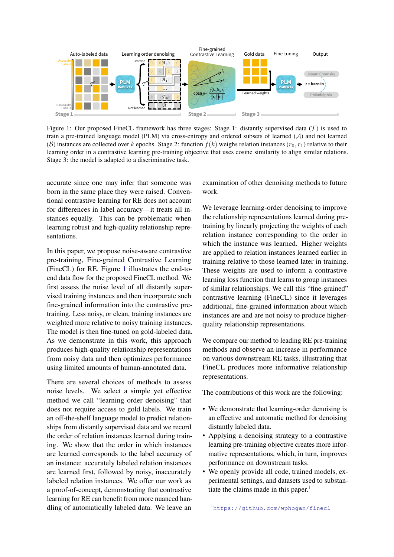<span id="page-1-0"></span>

Figure 1: Our proposed FineCL framework has three stages: Stage 1: distantly supervised data (T) is used to train a pre-trained language model (PLM) via cross-entropy and ordered subsets of learned (A) and not learned (B) instances are collected over k epochs. Stage 2: function  $f(k)$  weighs relation instances  $(r_0, r_1)$  relative to their learning order in a contrastive learning pre-training objective that uses cosine similarity to align similar relations. Stage 3: the model is adapted to a discriminative task.

accurate since one may infer that someone was born in the same place they were raised. Conventional contrastive learning for RE does not account for differences in label accuracy—it treats all instances equally. This can be problematic when learning robust and high-quality relationship representations.

In this paper, we propose noise-aware contrastive pre-training, Fine-grained Contrastive Learning (FineCL) for RE. Figure [1](#page-1-0) illustrates the end-toend data flow for the proposed FineCL method. We first assess the noise level of all distantly supervised training instances and then incorporate such fine-grained information into the contrastive pretraining. Less noisy, or clean, training instances are weighted more relative to noisy training instances. The model is then fine-tuned on gold-labeled data. As we demonstrate in this work, this approach produces high-quality relationship representations from noisy data and then optimizes performance using limited amounts of human-annotated data.

There are several choices of methods to assess noise levels. We select a simple yet effective method we call "learning order denoising" that does not require access to gold labels. We train an off-the-shelf language model to predict relationships from distantly supervised data and we record the order of relation instances learned during training. We show that the order in which instances are learned corresponds to the label accuracy of an instance: accurately labeled relation instances are learned first, followed by noisy, inaccurately labeled relation instances. We offer our work as a proof-of-concept, demonstrating that contrastive learning for RE can benefit from more nuanced handling of automatically labeled data. We leave an examination of other denoising methods to future work.

We leverage learning-order denoising to improve the relationship representations learned during pretraining by linearly projecting the weights of each relation instance corresponding to the order in which the instance was learned. Higher weights are applied to relation instances learned earlier in training relative to those learned later in training. These weights are used to inform a contrastive learning loss function that learns to group instances of similar relationships. We call this "fine-grained" contrastive learning (FineCL) since it leverages additional, fine-grained information about which instances are and are not noisy to produce higherquality relationship representations.

We compare our method to leading RE pre-training methods and observe an increase in performance on various downstream RE tasks, illustrating that FineCL produces more informative relationship representations.

The contributions of this work are the following:

- We demonstrate that learning-order denoising is an effective and automatic method for denoising distantly labeled data.
- Applying a denoising strategy to a contrastive learning pre-training objective creates more informative representations, which, in turn, improves performance on downstream tasks.
- We openly provide all code, trained models, experimental settings, and datasets used to substan-tiate the claims made in this paper.<sup>[1](#page-1-1)</sup>

<span id="page-1-1"></span><sup>1</sup><https://github.com/wphogan/finecl>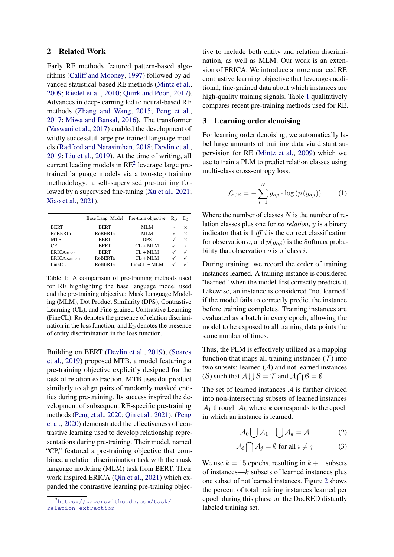## 2 Related Work

Early RE methods featured pattern-based algorithms [\(Califf and Mooney,](#page-8-10) [1997\)](#page-8-10) followed by advanced statistical-based RE methods [\(Mintz et al.,](#page-8-7) [2009;](#page-8-7) [Riedel et al.,](#page-8-11) [2010;](#page-8-11) [Quirk and Poon,](#page-8-12) [2017\)](#page-8-12). Advances in deep-learning led to neural-based RE methods [\(Zhang and Wang,](#page-9-1) [2015;](#page-9-1) [Peng et al.,](#page-8-13) [2017;](#page-8-13) [Miwa and Bansal,](#page-8-14) [2016\)](#page-8-14). The transformer [\(Vaswani et al.,](#page-8-15) [2017\)](#page-8-15) enabled the development of wildly successful large pre-trained language models [\(Radford and Narasimhan,](#page-8-16) [2018;](#page-8-16) [Devlin et al.,](#page-8-2) [2019;](#page-8-2) [Liu et al.,](#page-8-3) [2019\)](#page-8-3). At the time of writing, all current leading models in  $RE<sup>2</sup>$  $RE<sup>2</sup>$  $RE<sup>2</sup>$  leverage large pretrained language models via a two-step training methodology: a self-supervised pre-training followed by a supervised fine-tuning [\(Xu et al.,](#page-8-17) [2021;](#page-8-17) [Xiao et al.,](#page-8-18) [2021\)](#page-8-18).

<span id="page-2-1"></span>

|                     |                | Base Lang. Model Pre-train objective | $R_D$    | Еŋ       |
|---------------------|----------------|--------------------------------------|----------|----------|
| <b>BERT</b>         | <b>BERT</b>    | MLM                                  | $\times$ | $\times$ |
| <b>RoBERTa</b>      | <b>RoBERTa</b> | MLM                                  | ×        | $\times$ |
| <b>MTB</b>          | <b>BERT</b>    | <b>DPS</b>                           |          | $\times$ |
| CP                  | <b>BERT</b>    | $CL + MLM$                           |          | $\times$ |
| <b>ERICABERT</b>    | <b>BERT</b>    | $CL + MLM$                           |          |          |
| <b>ERICAROBERTa</b> | <b>RoBERTa</b> | $CL + MLM$                           |          |          |
| FineCL              | <b>RoBERTa</b> | $FineCL + MLM$                       |          |          |

Table 1: A comparison of pre-training methods used for RE highlighting the base language model used and the pre-training objective: Mask Language Modeling (MLM), Dot Product Similarity (DPS), Contrastive Learning (CL), and Fine-grained Contrastive Learning (FineCL). R<sub>D</sub> denotes the presence of relation discrimination in the loss function, and  $E<sub>D</sub>$  denotes the presence of entity discrimination in the loss function.

Building on BERT [\(Devlin et al.,](#page-8-2) [2019\)](#page-8-2), [\(Soares](#page-8-4) [et al.,](#page-8-4) [2019\)](#page-8-4) proposed MTB, a model featuring a pre-training objective explicitly designed for the task of relation extraction. MTB uses dot product similarly to align pairs of randomly masked entities during pre-training. Its success inspired the development of subsequent RE-specific pre-training methods [\(Peng et al.,](#page-8-5) [2020;](#page-8-5) [Qin et al.,](#page-8-6) [2021\)](#page-8-6). [\(Peng](#page-8-5) [et al.,](#page-8-5) [2020\)](#page-8-5) demonstrated the effectiveness of contrastive learning used to develop relationship representations during pre-training. Their model, named "CP," featured a pre-training objective that combined a relation discrimination task with the mask language modeling (MLM) task from BERT. Their work inspired ERICA [\(Qin et al.,](#page-8-6) [2021\)](#page-8-6) which expanded the contrastive learning pre-training objective to include both entity and relation discrimination, as well as MLM. Our work is an extension of ERICA. We introduce a more nuanced RE contrastive learning objective that leverages additional, fine-grained data about which instances are high-quality training signals. Table [1](#page-2-1) qualitatively compares recent pre-training methods used for RE.

## <span id="page-2-2"></span>3 Learning order denoising

For learning order denoising, we automatically label large amounts of training data via distant supervision for RE [\(Mintz et al.,](#page-8-7) [2009\)](#page-8-7) which we use to train a PLM to predict relation classes using multi-class cross-entropy loss.

<span id="page-2-3"></span>
$$
\mathcal{L}_{\text{CE}} = -\sum_{i=1}^{N} y_{o,i} \cdot \log \left( p \left( y_{o,i} \right) \right) \tag{1}
$$

Where the number of classes  $N$  is the number of relation classes plus one for *no relation*, y is a binary indicator that is  $1$  *iff*  $i$  is the correct classification for observation o, and  $p(y_{o,i})$  is the Softmax probability that observation  $o$  is of class  $i$ .

During training, we record the order of training instances learned. A training instance is considered "learned" when the model first correctly predicts it. Likewise, an instance is considered "not learned" if the model fails to correctly predict the instance before training completes. Training instances are evaluated as a batch in every epoch, allowing the model to be exposed to all training data points the same number of times.

Thus, the PLM is effectively utilized as a mapping function that maps all training instances  $(T)$  into two subsets: learned  $(A)$  and not learned instances (B) such that  $\mathcal{A} \bigcup \mathcal{B} = \mathcal{T}$  and  $\mathcal{A} \bigcap \mathcal{B} = \emptyset$ .

The set of learned instances  $A$  is further divided into non-intersecting subsets of learned instances  $A_1$  through  $A_k$  where k corresponds to the epoch in which an instance is learned.

$$
\mathcal{A}_0 \bigcup \mathcal{A}_1 ... \bigcup \mathcal{A}_k = \mathcal{A}
$$
 (2)

$$
\mathcal{A}_i \bigcap \mathcal{A}_j = \emptyset \text{ for all } i \neq j \tag{3}
$$

We use  $k = 15$  epochs, resulting in  $k + 1$  subsets of instances— $k$  subsets of learned instances plus one subset of not learned instances. Figure [2](#page-3-0) shows the percent of total training instances learned per epoch during this phase on the DocRED distantly labeled training set.

<span id="page-2-0"></span><sup>2</sup>[https://paperswithcode.com/task/](https://paperswithcode.com/task/relation-extraction) [relation-extraction](https://paperswithcode.com/task/relation-extraction)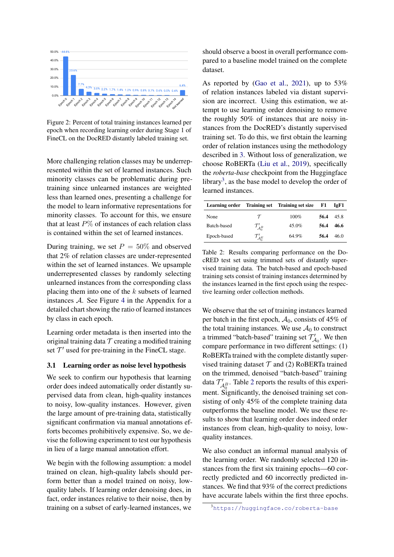<span id="page-3-0"></span>

Figure 2: Percent of total training instances learned per epoch when recording learning order during Stage 1 of FineCL on the DocRED distantly labeled training set.

More challenging relation classes may be underrepresented within the set of learned instances. Such minority classes can be problematic during pretraining since unlearned instances are weighted less than learned ones, presenting a challenge for the model to learn informative representations for minority classes. To account for this, we ensure that at least  $P\%$  of instances of each relation class is contained within the set of learned instances.

During training, we set  $P = 50\%$  and observed that 2% of relation classes are under-represented within the set of learned instances. We upsample underrepresented classes by randomly selecting unlearned instances from the corresponding class placing them into one of the  $k$  subsets of learned instances  $A$ . See Figure [4](#page-11-0) in the Appendix for a detailed chart showing the ratio of learned instances by class in each epoch.

Learning order metadata is then inserted into the original training data  $\mathcal T$  creating a modified training set  $\mathcal{T}'$  used for pre-training in the FineCL stage.

## <span id="page-3-3"></span>3.1 Learning order as noise level hypothesis

We seek to confirm our hypothesis that learning order does indeed automatically order distantly supervised data from clean, high-quality instances to noisy, low-quality instances. However, given the large amount of pre-training data, statistically significant confirmation via manual annotations efforts becomes prohibitively expensive. So, we devise the following experiment to test our hypothesis in lieu of a large manual annotation effort.

We begin with the following assumption: a model trained on clean, high-quality labels should perform better than a model trained on noisy, lowquality labels. If learning order denoising does, in fact, order instances relative to their noise, then by training on a subset of early-learned instances, we

should observe a boost in overall performance compared to a baseline model trained on the complete dataset.

As reported by [\(Gao et al.,](#page-8-8) [2021\)](#page-8-8), up to 53% of relation instances labeled via distant supervision are incorrect. Using this estimation, we attempt to use learning order denoising to remove the roughly 50% of instances that are noisy instances from the DocRED's distantly supervised training set. To do this, we first obtain the learning order of relation instances using the methodology described in [3.](#page-2-2) Without loss of generalization, we choose RoBERTa [\(Liu et al.,](#page-8-3) [2019\)](#page-8-3), specifically the *roberta-base* checkpoint from the Huggingface library<sup>[3](#page-3-1)</sup>, as the base model to develop the order of learned instances.

<span id="page-3-2"></span>

|             |                                              | Learning order Training set Training set size | F1   | IeF1 |
|-------------|----------------------------------------------|-----------------------------------------------|------|------|
| None        | $\tau$                                       | $100\%$                                       | 56.4 | 45.8 |
| Batch-based | $\mathcal{T}_{\mathcal{A}_{0}^{B}}^{\prime}$ | 45.0%                                         | 56.4 | 46.6 |
| Epoch-based | $\mathcal{T}_{\mathcal{A}_{0}^{E}}^{\prime}$ | 64.9%                                         | 56.4 | 46 Q |

Table 2: Results comparing performance on the DocRED test set using trimmed sets of distantly supervised training data. The batch-based and epoch-based training sets consist of training instances determined by the instances learned in the first epoch using the respective learning order collection methods.

We observe that the set of training instances learned per batch in the first epoch,  $A_0$ , consists of 45% of the total training instances. We use  $A_0$  to construct a trimmed "batch-based" training set  $\mathcal{T}'_{A_0}$ . We then compare performance in two different settings: (1) RoBERTa trained with the complete distantly supervised training dataset  $T$  and (2) RoBERTa trained on the trimmed, denoised "batch-based" training data  $\mathcal{T}_{\mathcal{A}_{0}^{B}}'$ . Table [2](#page-3-2) reports the results of this experiment. Significantly, the denoised training set consisting of only 45% of the complete training data outperforms the baseline model. We use these results to show that learning order does indeed order instances from clean, high-quality to noisy, lowquality instances.

We also conduct an informal manual analysis of the learning order. We randomly selected 120 instances from the first six training epochs—60 correctly predicted and 60 incorrectly predicted instances. We find that 93% of the correct predictions have accurate labels within the first three epochs.

```
3https://huggingface.co/roberta-base
```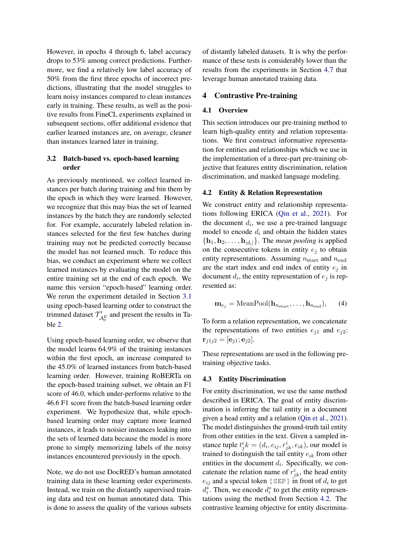However, in epochs 4 through 6, label accuracy drops to 53% among correct predictions. Furthermore, we find a relatively low label accuracy of 50% from the first three epochs of incorrect predictions, illustrating that the model struggles to learn noisy instances compared to clean instances early in training. These results, as well as the positive results from FineCL experiments explained in subsequent sections, offer additional evidence that earlier learned instances are, on average, cleaner than instances learned later in training.

## 3.2 Batch-based vs. epoch-based learning order

As previously mentioned, we collect learned instances per batch during training and bin them by the epoch in which they were learned. However, we recognize that this may bias the set of learned instances by the batch they are randomly selected for. For example, accurately labeled relation instances selected for the first few batches during training may not be predicted correctly because the model has not learned much. To reduce this bias, we conduct an experiment where we collect learned instances by evaluating the model on the entire training set at the end of each epoch. We name this version "epoch-based" learning order. We rerun the experiment detailed in Section [3.1](#page-3-3) using epoch-based learning order to construct the trimmed dataset  $T'_{\mathcal{A}_{0}^{E}}$  and present the results in Table [2.](#page-3-2)

Using epoch-based learning order, we observe that the model learns 64.9% of the training instances within the first epoch, an increase compared to the 45.0% of learned instances from batch-based learning order. However, training RoBERTa on the epoch-based training subset, we obtain an F1 score of 46.0, which under-performs relative to the 46.6 F1 score from the batch-based learning order experiment. We hypothesize that, while epochbased learning order may capture more learned instances, it leads to noisier instances leaking into the sets of learned data because the model is more prone to simply memorizing labels of the noisy instances encountered previously in the epoch.

Note, we do not use DocRED's human annotated training data in these learning order experiments. Instead, we train on the distantly supervised training data and test on human annotated data. This is done to assess the quality of the various subsets

of distantly labeled datasets. It is why the performance of these tests is considerably lower than the results from the experiments in Section [4.7](#page-5-0) that leverage human annotated training data.

## 4 Contrastive Pre-training

### 4.1 Overview

This section introduces our pre-training method to learn high-quality entity and relation representations. We first construct informative representation for entities and relationships which we use in the implementation of a three-part pre-training objective that features entity discrimination, relation discrimination, and masked language modeling.

### <span id="page-4-0"></span>4.2 Entity & Relation Representation

We construct entity and relationship representations following ERICA [\(Qin et al.,](#page-8-6) [2021\)](#page-8-6). For the document  $d_i$ , we use a pre-trained language model to encode  $d_i$  and obtain the hidden states  $\{h_1, h_2, \ldots, h_{|d_i|}\}.$  The *mean pooling* is applied on the consecutive tokens in entity  $e_i$  to obtain entity representations. Assuming  $n_{\text{start}}$  and  $n_{\text{end}}$ are the start index and end index of entity  $e_i$  in document  $d_i$ , the entity representation of  $e_j$  is represented as:

$$
\mathbf{m}_{e_j} = \text{MeanPool}(\mathbf{h}_{n_{\text{start}}}, \dots, \mathbf{h}_{n_{\text{end}}}), \quad (4)
$$

To form a relation representation, we concatenate the representations of two entities  $e_{j1}$  and  $e_{j2}$ :  $\mathbf{r}_{i1i2} = [\mathbf{e}_{i1}; \mathbf{e}_{i2}].$ 

These representations are used in the following pretraining objective tasks.

## 4.3 Entity Discrimination

For entity discrimination, we use the same method described in ERICA. The goal of entity discrimination is inferring the tail entity in a document given a head entity and a relation [\(Qin et al.,](#page-8-6) [2021\)](#page-8-6). The model distinguishes the ground-truth tail entity from other entities in the text. Given a sampled instance tuple  $t^i_j k = (d_i, e_{ij}, r^i_{jk}, e_{ik})$ , our model is trained to distinguish the tail entity  $e_{ik}$  from other entities in the document  $d_i$ . Specifically, we concatenate the relation name of  $r_{jk}^i$ , the head entity  $e_{ij}$  and a special token [SEP] in front of  $d_i$  to get  $d_i^*$ . Then, we encode  $d_i^*$  to get the entity representations using the method from Section [4.2.](#page-4-0) The contrastive learning objective for entity discrimina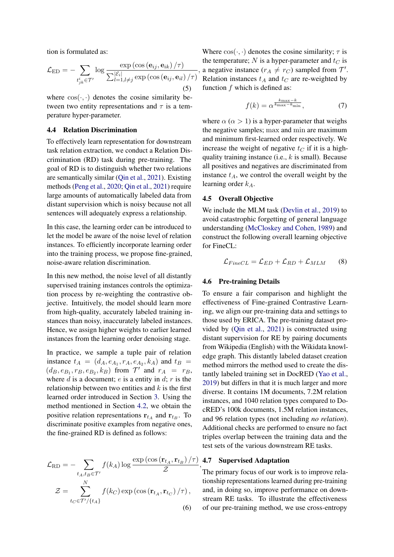tion is formulated as:

$$
\mathcal{L}_{ED} = -\sum_{t_{jk}^{i} \in \mathcal{T}'} \log \frac{\exp \left(\cos \left(\mathbf{e}_{ij}, \mathbf{e}_{ik}\right) / \tau\right)}{\sum_{l=1, l \neq j}^{|\mathcal{E}_i|} \exp \left(\cos \left(\mathbf{e}_{ij}, \mathbf{e}_{il}\right) / \tau\right)}
$$
(5)

where  $\cos(\cdot, \cdot)$  denotes the cosine similarity between two entity representations and  $\tau$  is a temperature hyper-parameter.

## 4.4 Relation Discrimination

To effectively learn representation for downstream task relation extraction, we conduct a Relation Discrimination (RD) task during pre-training. The goal of RD is to distinguish whether two relations are semantically similar [\(Qin et al.,](#page-8-6) [2021\)](#page-8-6). Existing methods [\(Peng et al.,](#page-8-5) [2020;](#page-8-5) [Qin et al.,](#page-8-6) [2021\)](#page-8-6) require large amounts of automatically labeled data from distant supervision which is noisy because not all sentences will adequately express a relationship.

In this case, the learning order can be introduced to let the model be aware of the noise level of relation instances. To efficiently incorporate learning order into the training process, we propose fine-grained, noise-aware relation discrimination.

In this new method, the noise level of all distantly supervised training instances controls the optimization process by re-weighting the contrastive objective. Intuitively, the model should learn more from high-quality, accurately labeled training instances than noisy, inaccurately labeled instances. Hence, we assign higher weights to earlier learned instances from the learning order denoising stage.

In practice, we sample a tuple pair of relation instance  $t_A = (d_A, e_{A_1}, r_A, e_{A_2}, k_A)$  and  $t_B =$  $(d_B, e_{B_1}, r_B, e_{B_2}, k_B)$  from  $\mathcal{T}'$  and  $r_A = r_B$ , where  $d$  is a document;  $e$  is a entity in  $d$ ;  $r$  is the relationship between two entities and  $k$  is the first learned order introduced in Section [3.](#page-2-2) Using the method mentioned in Section [4.2,](#page-4-0) we obtain the positive relation representations  $r_{t_A}$  and  $r_{t_B}$ . To discriminate positive examples from negative ones, the fine-grained RD is defined as follows:

$$
\mathcal{L}_{\text{RD}} = -\sum_{t_A, t_B \in \mathcal{T}'} f(k_A) \log \frac{\exp\left(\cos\left(\mathbf{r}_{t_A}, \mathbf{r}_{t_B}\right) / \tau\right)}{\mathcal{Z}}
$$

$$
\mathcal{Z} = \sum_{t_C \in \mathcal{T}' / \{t_A\}}^{N} f(k_C) \exp\left(\cos\left(\mathbf{r}_{t_A}, \mathbf{r}_{t_C}\right) / \tau\right),\tag{6}
$$

Where  $cos(\cdot, \cdot)$  denotes the cosine similarity;  $\tau$  is the temperature;  $N$  is a hyper-parameter and  $t_C$  is a negative instance  $(r_A \neq r_C)$  sampled from  $\mathcal{T}'$ . Relation instances  $t_A$  and  $t_C$  are re-weighted by function  $f$  which is defined as:

$$
f(k) = \alpha^{\frac{k_{\text{max}} - k}{k_{\text{max}} - k_{\text{min}}}},\tag{7}
$$

where  $\alpha$  ( $\alpha > 1$ ) is a hyper-parameter that weighs the negative samples; max and min are maximum and minimum first-learned order respectively. We increase the weight of negative  $t_C$  if it is a highquality training instance (i.e.,  $k$  is small). Because all positives and negatives are discriminated from instance  $t_A$ , we control the overall weight by the learning order  $k_A$ .

## 4.5 Overall Objective

,

We include the MLM task [\(Devlin et al.,](#page-8-2) [2019\)](#page-8-2) to avoid catastrophic forgetting of general language understanding [\(McCloskey and Cohen,](#page-8-19) [1989\)](#page-8-19) and construct the following overall learning objective for FineCL:

$$
\mathcal{L}_{FineCL} = \mathcal{L}_{ED} + \mathcal{L}_{RD} + \mathcal{L}_{MLM} \qquad (8)
$$

### 4.6 Pre-training Details

To ensure a fair comparison and highlight the effectiveness of Fine-grained Contrastive Learning, we align our pre-training data and settings to those used by ERICA. The pre-training dataset provided by [\(Qin et al.,](#page-8-6) [2021\)](#page-8-6) is constructed using distant supervision for RE by pairing documents from Wikipedia (English) with the Wikidata knowledge graph. This distantly labeled dataset creation method mirrors the method used to create the distantly labeled training set in DocRED [\(Yao et al.,](#page-9-2) [2019\)](#page-9-2) but differs in that it is much larger and more diverse. It contains 1M documents, 7.2M relation instances, and 1040 relation types compared to DocRED's 100k documents, 1.5M relation instances, and 96 relation types (not including *no relation*). Additional checks are performed to ensure no fact triples overlap between the training data and the test sets of the various downstream RE tasks.

#### <span id="page-5-0"></span>, 4.7 Supervised Adaptation

The primary focus of our work is to improve relationship representations learned during pre-training and, in doing so, improve performance on downstream RE tasks. To illustrate the effectiveness of our pre-training method, we use cross-entropy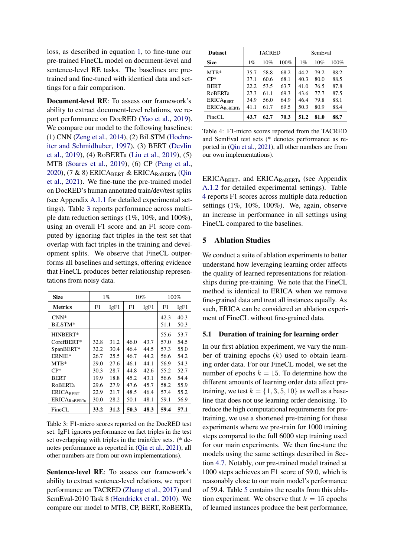loss, as described in equation [1,](#page-2-3) to fine-tune our pre-trained FineCL model on document-level and sentence-level RE tasks. The baselines are pretrained and fine-tuned with identical data and settings for a fair comparison.

Document-level RE: To assess our framework's ability to extract document-level relations, we report performance on DocRED [\(Yao et al.,](#page-9-2) [2019\)](#page-9-2). We compare our model to the following baselines: (1) CNN [\(Zeng et al.,](#page-9-3) [2014\)](#page-9-3), (2) BiLSTM [\(Hochre](#page-8-20)[iter and Schmidhuber,](#page-8-20) [1997\)](#page-8-20), (3) BERT [\(Devlin](#page-8-2) [et al.,](#page-8-2) [2019\)](#page-8-2), (4) RoBERTa [\(Liu et al.,](#page-8-3) [2019\)](#page-8-3), (5) MTB [\(Soares et al.,](#page-8-4) [2019\)](#page-8-4), (6) CP [\(Peng et al.,](#page-8-5) [2020\)](#page-8-5),  $(7 \& 8)$  ERICA<sub>BERT</sub> & ERICA<sub>ROBERTa</sub> [\(Qin](#page-8-6) [et al.,](#page-8-6) [2021\)](#page-8-6). We fine-tune the pre-trained model on DocRED's human annotated train/dev/test splits (see Appendix [A.1.1](#page-10-0) for detailed experimental settings). Table [3](#page-6-0) reports performance across multiple data reduction settings (1%, 10%, and 100%), using an overall F1 score and an F1 score computed by ignoring fact triples in the test set that overlap with fact triples in the training and development splits. We observe that FineCL outperforms all baselines and settings, offering evidence that FineCL produces better relationship representations from noisy data.

<span id="page-6-0"></span>

| <b>Size</b>         | $1\%$ |      | 10%  |      | 100% |      |
|---------------------|-------|------|------|------|------|------|
| <b>Metrics</b>      | F1    | IgF1 | F1   | IgF1 | F1   | IgF1 |
| $CNN*$              |       |      |      |      | 42.3 | 40.3 |
| BiLSTM*             |       |      |      |      | 51.1 | 50.3 |
| <b>HINBERT*</b>     |       |      |      |      | 55.6 | 53.7 |
| $CorefBERT*$        | 32.8  | 31.2 | 46.0 | 43.7 | 57.0 | 54.5 |
| SpanBERT*           | 32.2  | 30.4 | 46.4 | 44.5 | 57.3 | 55.0 |
| ERNIE*              | 26.7  | 25.5 | 46.7 | 44.2 | 56.6 | 54.2 |
| $MTB*$              | 29.0  | 27.6 | 46.1 | 44.1 | 56.9 | 54.3 |
| $CP*$               | 30.3  | 28.7 | 44.8 | 42.6 | 55.2 | 52.7 |
| <b>BERT</b>         | 19.9  | 18.8 | 45.2 | 43.1 | 56.6 | 54.4 |
| <b>ROBERTa</b>      | 29.6  | 27.9 | 47.6 | 45.7 | 58.2 | 55.9 |
| <b>ERICABERT</b>    | 22.9  | 21.7 | 48.5 | 46.4 | 57.4 | 55.2 |
| <b>ERICAROBERTa</b> | 30.0  | 28.2 | 50.1 | 48.1 | 59.1 | 56.9 |
| FineCL              | 33.2  | 31.2 | 50.3 | 48.3 | 59.4 | 57.1 |

Table 3: F1-micro scores reported on the DocRED test set. IgF1 ignores performance on fact triples in the test set overlapping with triples in the train/dev sets. (\* denotes performance as reported in [\(Qin et al.,](#page-8-6) [2021\)](#page-8-6), all other numbers are from our own implementations).

Sentence-level RE: To assess our framework's ability to extract sentence-level relations, we report performance on TACRED [\(Zhang et al.,](#page-9-4) [2017\)](#page-9-4) and SemEval-2010 Task 8 [\(Hendrickx et al.,](#page-8-21) [2010\)](#page-8-21). We compare our model to MTB, CP, BERT, RoBERTa,

<span id="page-6-1"></span>

| <b>Dataset</b>      | TACRED |      |      |       | SemEval |      |  |
|---------------------|--------|------|------|-------|---------|------|--|
| <b>Size</b>         | $1\%$  | 10%  | 100% | $1\%$ | 10%     | 100% |  |
| $MTB*$              | 35.7   | 58.8 | 68.2 | 44.2  | 79.2    | 88.2 |  |
| $CP*$               | 37.1   | 60.6 | 68.1 | 40.3  | 80.0    | 88.5 |  |
| <b>BERT</b>         | 22.2   | 53.5 | 63.7 | 41.0  | 76.5    | 87.8 |  |
| <b>RoBERTa</b>      | 27.3   | 61.1 | 69.3 | 43.6  | 77.7    | 87.5 |  |
| <b>ERICABERT</b>    | 34.9   | 56.0 | 64.9 | 46.4  | 79.8    | 88.1 |  |
| <b>ERICAROBERTa</b> | 41.1   | 61.7 | 69.5 | 50.3  | 80.9    | 88.4 |  |
| FineCL              | 43.7   | 62.7 | 70.3 | 51.2  | 81.0    | 88.7 |  |

Table 4: F1-micro scores reported from the TACRED and SemEval test sets (\* denotes performance as reported in [\(Qin et al.,](#page-8-6) [2021\)](#page-8-6), all other numbers are from our own implementations).

ERICABERT, and ERICARoBERTa (see Appendix [A.1.2](#page-10-1) for detailed experimental settings). Table [4](#page-6-1) reports F1 scores across multiple data reduction settings (1%, 10%, 100%). We, again, observe an increase in performance in all settings using FineCL compared to the baselines.

## 5 Ablation Studies

We conduct a suite of ablation experiments to better understand how leveraging learning order affects the quality of learned representations for relationships during pre-training. We note that the FineCL method is identical to ERICA when we remove fine-grained data and treat all instances equally. As such, ERICA can be considered an ablation experiment of FineCL without fine-grained data.

### 5.1 Duration of training for learning order

In our first ablation experiment, we vary the number of training epochs  $(k)$  used to obtain learning order data. For our FineCL model, we set the number of epochs  $k = 15$ . To determine how the different amounts of learning order data affect pretraining, we test  $k = \{1, 3, 5, 10\}$  as well as a baseline that does not use learning order denoising. To reduce the high computational requirements for pretraining, we use a shortened pre-training for these experiments where we pre-train for 1000 training steps compared to the full 6000 step training used for our main experiments. We then fine-tune the models using the same settings described in Section [4.7.](#page-5-0) Notably, our pre-trained model trained at 1000 steps achieves an F1 score of 59.0, which is reasonably close to our main model's performance of 59.4. Table [5](#page-7-0) contains the results from this ablation experiment. We observe that  $k = 15$  epochs of learned instances produce the best performance,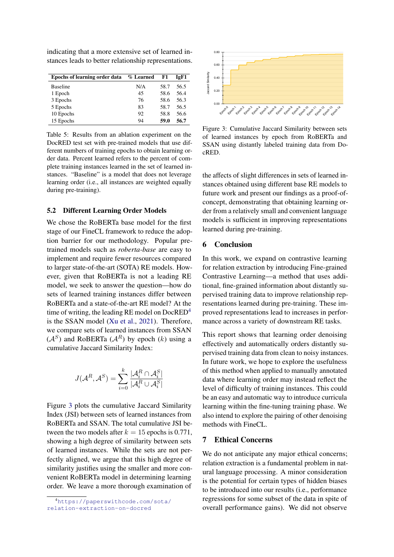indicating that a more extensive set of learned instances leads to better relationship representations.

<span id="page-7-0"></span>

| <b>Epochs of learning order data</b> | $\%$ Learned | F1   | IgF1 |
|--------------------------------------|--------------|------|------|
| <b>Baseline</b>                      | N/A          | 58.7 | 56.5 |
| 1 Epoch                              | 45           | 58.6 | 56.4 |
| 3 Epochs                             | 76           | 58.6 | 56.3 |
| 5 Epochs                             | 83           | 58.7 | 56.5 |
| 10 Epochs                            | 92           | 58.8 | 56.6 |
| 15 Epochs                            | 94           | 59.0 | 56.7 |

Table 5: Results from an ablation experiment on the DocRED test set with pre-trained models that use different numbers of training epochs to obtain learning order data. Percent learned refers to the percent of complete training instances learned in the set of learned instances. "Baseline" is a model that does not leverage learning order (i.e., all instances are weighted equally during pre-training).

### 5.2 Different Learning Order Models

We chose the RoBERTa base model for the first stage of our FineCL framework to reduce the adoption barrier for our methodology. Popular pretrained models such as *roberta-base* are easy to implement and require fewer resources compared to larger state-of-the-art (SOTA) RE models. However, given that RoBERTa is not a leading RE model, we seek to answer the question—how do sets of learned training instances differ between RoBERTa and a state-of-the-art RE model? At the time of writing, the leading RE model on  $DocRED<sup>4</sup>$  $DocRED<sup>4</sup>$  $DocRED<sup>4</sup>$ is the SSAN model [\(Xu et al.,](#page-8-17) [2021\)](#page-8-17). Therefore, we compare sets of learned instances from SSAN  $(A<sup>S</sup>)$  and RoBERTa  $(A<sup>R</sup>)$  by epoch  $(k)$  using a cumulative Jaccard Similarity Index:

$$
J(\mathcal{A}^R, \mathcal{A}^S) = \sum_{i=0}^k \frac{|\mathcal{A}_i^R \cap \mathcal{A}_i^S|}{|\mathcal{A}_i^R \cup \mathcal{A}_i^S|}
$$

Figure [3](#page-7-2) plots the cumulative Jaccard Similarity Index (JSI) between sets of learned instances from RoBERTa and SSAN. The total cumulative JSI between the two models after  $k = 15$  epochs is 0.771, showing a high degree of similarity between sets of learned instances. While the sets are not perfectly aligned, we argue that this high degree of similarity justifies using the smaller and more convenient RoBERTa model in determining learning order. We leave a more thorough examination of

<span id="page-7-2"></span>

Figure 3: Cumulative Jaccard Similarity between sets of learned instances by epoch from RoBERTa and SSAN using distantly labeled training data from DocRED.

the affects of slight differences in sets of learned instances obtained using different base RE models to future work and present our findings as a proof-ofconcept, demonstrating that obtaining learning order from a relatively small and convenient language models is sufficient in improving representations learned during pre-training.

## 6 Conclusion

In this work, we expand on contrastive learning for relation extraction by introducing Fine-grained Contrastive Learning—a method that uses additional, fine-grained information about distantly supervised training data to improve relationship representations learned during pre-training. These improved representations lead to increases in performance across a variety of downstream RE tasks.

This report shows that learning order denoising effectively and automatically orders distantly supervised training data from clean to noisy instances. In future work, we hope to explore the usefulness of this method when applied to manually annotated data where learning order may instead reflect the level of difficulty of training instances. This could be an easy and automatic way to introduce curricula learning within the fine-tuning training phase. We also intend to explore the pairing of other denoising methods with FineCL.

### 7 Ethical Concerns

We do not anticipate any major ethical concerns; relation extraction is a fundamental problem in natural language processing. A minor consideration is the potential for certain types of hidden biases to be introduced into our results (i.e., performance regressions for some subset of the data in spite of overall performance gains). We did not observe

<span id="page-7-1"></span><sup>4</sup>[https://paperswithcode.com/sota/](https://paperswithcode.com/sota/relation-extraction-on-docred) [relation-extraction-on-docred](https://paperswithcode.com/sota/relation-extraction-on-docred)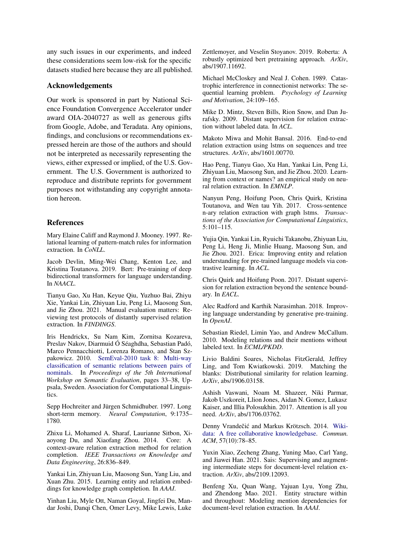any such issues in our experiments, and indeed these considerations seem low-risk for the specific datasets studied here because they are all published.

# Acknowledgements

Our work is sponsored in part by National Science Foundation Convergence Accelerator under award OIA-2040727 as well as generous gifts from Google, Adobe, and Teradata. Any opinions, findings, and conclusions or recommendations expressed herein are those of the authors and should not be interpreted as necessarily representing the views, either expressed or implied, of the U.S. Government. The U.S. Government is authorized to reproduce and distribute reprints for government purposes not withstanding any copyright annotation hereon.

# References

<span id="page-8-10"></span>Mary Elaine Califf and Raymond J. Mooney. 1997. Relational learning of pattern-match rules for information extraction. In *CoNLL*.

<span id="page-8-2"></span>Jacob Devlin, Ming-Wei Chang, Kenton Lee, and Kristina Toutanova. 2019. Bert: Pre-training of deep bidirectional transformers for language understanding. In *NAACL*.

<span id="page-8-8"></span>Tianyu Gao, Xu Han, Keyue Qiu, Yuzhuo Bai, Zhiyu Xie, Yankai Lin, Zhiyuan Liu, Peng Li, Maosong Sun, and Jie Zhou. 2021. Manual evaluation matters: Reviewing test protocols of distantly supervised relation extraction. In *FINDINGS*.

<span id="page-8-21"></span>Iris Hendrickx, Su Nam Kim, Zornitsa Kozareva, Preslav Nakov, Diarmuid Ó Séaghdha, Sebastian Padó, Marco Pennacchiotti, Lorenza Romano, and Stan Szpakowicz. 2010. [SemEval-2010 task 8: Multi-way](https://aclanthology.org/S10-1006) [classification of semantic relations between pairs of](https://aclanthology.org/S10-1006) [nominals.](https://aclanthology.org/S10-1006) In *Proceedings of the 5th International Workshop on Semantic Evaluation*, pages 33–38, Uppsala, Sweden. Association for Computational Linguistics.

<span id="page-8-20"></span>Sepp Hochreiter and Jürgen Schmidhuber. 1997. Long short-term memory. *Neural Computation*, 9:1735– 1780.

<span id="page-8-1"></span>Zhixu Li, Mohamed A. Sharaf, Laurianne Sitbon, Xiaoyong Du, and Xiaofang Zhou. 2014. Core: A context-aware relation extraction method for relation completion. *IEEE Transactions on Knowledge and Data Engineering*, 26:836–849.

<span id="page-8-0"></span>Yankai Lin, Zhiyuan Liu, Maosong Sun, Yang Liu, and Xuan Zhu. 2015. Learning entity and relation embeddings for knowledge graph completion. In *AAAI*.

<span id="page-8-3"></span>Yinhan Liu, Myle Ott, Naman Goyal, Jingfei Du, Mandar Joshi, Danqi Chen, Omer Levy, Mike Lewis, Luke Zettlemoyer, and Veselin Stoyanov. 2019. Roberta: A robustly optimized bert pretraining approach. *ArXiv*, abs/1907.11692.

<span id="page-8-19"></span>Michael McCloskey and Neal J. Cohen. 1989. Catastrophic interference in connectionist networks: The sequential learning problem. *Psychology of Learning and Motivation*, 24:109–165.

<span id="page-8-7"></span>Mike D. Mintz, Steven Bills, Rion Snow, and Dan Jurafsky. 2009. Distant supervision for relation extraction without labeled data. In *ACL*.

<span id="page-8-14"></span>Makoto Miwa and Mohit Bansal. 2016. End-to-end relation extraction using lstms on sequences and tree structures. *ArXiv*, abs/1601.00770.

<span id="page-8-5"></span>Hao Peng, Tianyu Gao, Xu Han, Yankai Lin, Peng Li, Zhiyuan Liu, Maosong Sun, and Jie Zhou. 2020. Learning from context or names? an empirical study on neural relation extraction. In *EMNLP*.

<span id="page-8-13"></span>Nanyun Peng, Hoifung Poon, Chris Quirk, Kristina Toutanova, and Wen tau Yih. 2017. Cross-sentence n-ary relation extraction with graph lstms. *Transactions of the Association for Computational Linguistics*, 5:101–115.

<span id="page-8-6"></span>Yujia Qin, Yankai Lin, Ryuichi Takanobu, Zhiyuan Liu, Peng Li, Heng Ji, Minlie Huang, Maosong Sun, and Jie Zhou. 2021. Erica: Improving entity and relation understanding for pre-trained language models via contrastive learning. In *ACL*.

<span id="page-8-12"></span>Chris Quirk and Hoifung Poon. 2017. Distant supervision for relation extraction beyond the sentence boundary. In *EACL*.

<span id="page-8-16"></span>Alec Radford and Karthik Narasimhan. 2018. Improving language understanding by generative pre-training. In *OpenAI*.

<span id="page-8-11"></span>Sebastian Riedel, Limin Yao, and Andrew McCallum. 2010. Modeling relations and their mentions without labeled text. In *ECML/PKDD*.

<span id="page-8-4"></span>Livio Baldini Soares, Nicholas FitzGerald, Jeffrey Ling, and Tom Kwiatkowski. 2019. Matching the blanks: Distributional similarity for relation learning. *ArXiv*, abs/1906.03158.

<span id="page-8-15"></span>Ashish Vaswani, Noam M. Shazeer, Niki Parmar, Jakob Uszkoreit, Llion Jones, Aidan N. Gomez, Lukasz Kaiser, and Illia Polosukhin. 2017. Attention is all you need. *ArXiv*, abs/1706.03762.

<span id="page-8-9"></span>Denny Vrandečić and Markus Krötzsch. 2014. [Wiki](https://doi.org/10.1145/2629489)[data: A free collaborative knowledgebase.](https://doi.org/10.1145/2629489) *Commun. ACM*, 57(10):78–85.

<span id="page-8-18"></span>Yuxin Xiao, Zecheng Zhang, Yuning Mao, Carl Yang, and Jiawei Han. 2021. Sais: Supervising and augmenting intermediate steps for document-level relation extraction. *ArXiv*, abs/2109.12093.

<span id="page-8-17"></span>Benfeng Xu, Quan Wang, Yajuan Lyu, Yong Zhu, and Zhendong Mao. 2021. Entity structure within and throughout: Modeling mention dependencies for document-level relation extraction. In *AAAI*.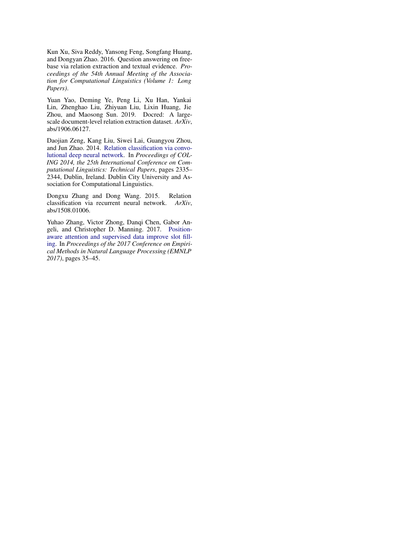<span id="page-9-0"></span>Kun Xu, Siva Reddy, Yansong Feng, Songfang Huang, and Dongyan Zhao. 2016. Question answering on freebase via relation extraction and textual evidence. *Proceedings of the 54th Annual Meeting of the Association for Computational Linguistics (Volume 1: Long Papers)*.

<span id="page-9-2"></span>Yuan Yao, Deming Ye, Peng Li, Xu Han, Yankai Lin, Zhenghao Liu, Zhiyuan Liu, Lixin Huang, Jie Zhou, and Maosong Sun. 2019. Docred: A largescale document-level relation extraction dataset. *ArXiv*, abs/1906.06127.

<span id="page-9-3"></span>Daojian Zeng, Kang Liu, Siwei Lai, Guangyou Zhou, and Jun Zhao. 2014. [Relation classification via convo](https://aclanthology.org/C14-1220)[lutional deep neural network.](https://aclanthology.org/C14-1220) In *Proceedings of COL-ING 2014, the 25th International Conference on Computational Linguistics: Technical Papers*, pages 2335– 2344, Dublin, Ireland. Dublin City University and Association for Computational Linguistics.

<span id="page-9-1"></span>Dongxu Zhang and Dong Wang. 2015. Relation classification via recurrent neural network. *ArXiv*, abs/1508.01006.

<span id="page-9-4"></span>Yuhao Zhang, Victor Zhong, Danqi Chen, Gabor Angeli, and Christopher D. Manning. 2017. [Position](https://nlp.stanford.edu/pubs/zhang2017tacred.pdf)[aware attention and supervised data improve slot fill](https://nlp.stanford.edu/pubs/zhang2017tacred.pdf)[ing.](https://nlp.stanford.edu/pubs/zhang2017tacred.pdf) In *Proceedings of the 2017 Conference on Empirical Methods in Natural Language Processing (EMNLP 2017)*, pages 35–45.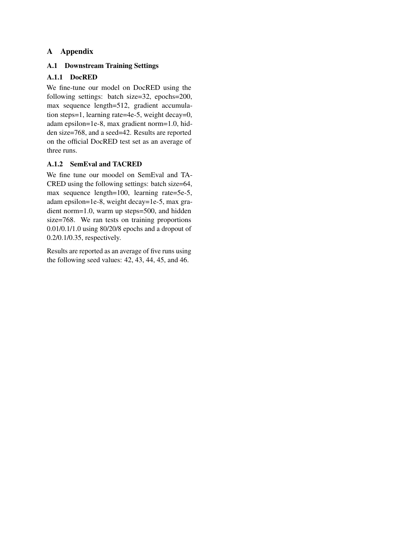# A Appendix

# A.1 Downstream Training Settings

# <span id="page-10-0"></span>A.1.1 DocRED

We fine-tune our model on DocRED using the following settings: batch size=32, epochs=200, max sequence length=512, gradient accumulation steps=1, learning rate=4e-5, weight decay=0, adam epsilon=1e-8, max gradient norm=1.0, hidden size=768, and a seed=42. Results are reported on the official DocRED test set as an average of three runs.

# <span id="page-10-1"></span>A.1.2 SemEval and TACRED

We fine tune our moodel on SemEval and TA-CRED using the following settings: batch size=64, max sequence length=100, learning rate=5e-5, adam epsilon=1e-8, weight decay=1e-5, max gradient norm=1.0, warm up steps=500, and hidden size=768. We ran tests on training proportions 0.01/0.1/1.0 using 80/20/8 epochs and a dropout of 0.2/0.1/0.35, respectively.

Results are reported as an average of five runs using the following seed values: 42, 43, 44, 45, and 46.